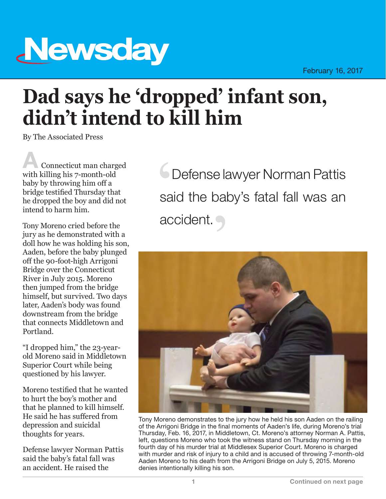## **Newsday**

## **Dad says he 'dropped' infant son, didn't intend to kill him**

By The Associated Press

Connecticut man charged with killing his 7-month-old baby by throwing him off a bridge testified Thursday that he dropped the boy and did not intend to harm him.

Tony Moreno cried before the jury as he demonstrated with a doll how he was holding his son, Aaden, before the baby plunged off the 90-foot-high Arrigoni Bridge over the Connecticut River in July 2015. Moreno then jumped from the bridge himself, but survived. Two days later, Aaden's body was found downstream from the bridge that connects Middletown and Portland.

"I dropped him," the 23-yearold Moreno said in Middletown Superior Court while being questioned by his lawyer.

Moreno testified that he wanted to hurt the boy's mother and that he planned to kill himself. He said he has suffered from depression and suicidal thoughts for years.

Defense lawyer Norman Pattis said the baby's fatal fall was an accident. He raised the

 Defense lawyer Norman Pattis said the baby's fatal fall was an accident.



Tony Moreno demonstrates to the jury how he held his son Aaden on the railing of the Arrigoni Bridge in the final moments of Aaden's life, during Moreno's trial Thursday, Feb. 16, 2017, in Middletown, Ct. Moreno's attorney Norman A. Pattis, left, questions Moreno who took the witness stand on Thursday morning in the fourth day of his murder trial at Middlesex Superior Court. Moreno is charged with murder and risk of injury to a child and is accused of throwing 7-month-old Aaden Moreno to his death from the Arrigoni Bridge on July 5, 2015. Moreno denies intentionally killing his son.